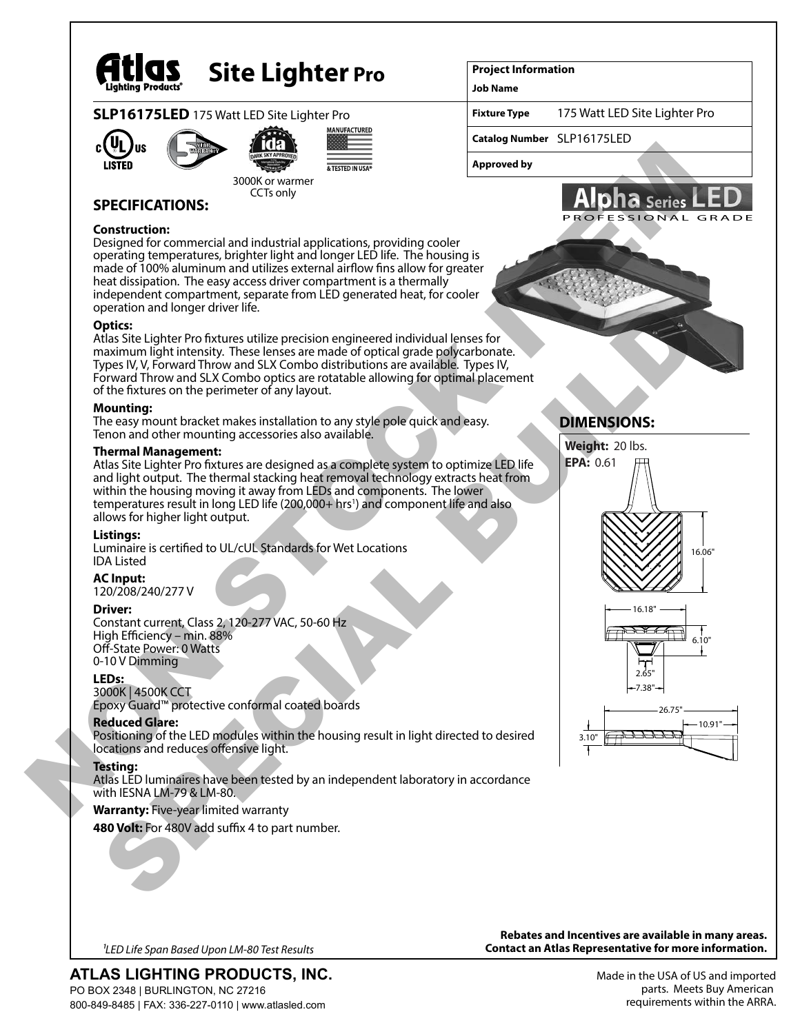

# **Site Lighter Pro**

# **SLP16175LED** 175 Watt LED Site Lighter Pro







3000K or warmer

#### CCTs only

**SPECIFICATIONS:**

### **Construction:**

Designed for commercial and industrial applications, providing cooler operating temperatures, brighter light and longer LED life. The housing is made of 100% aluminum and utilizes external airflow fins allow for greater heat dissipation. The easy access driver compartment is a thermally independent compartment, separate from LED generated heat, for cooler operation and longer driver life. example and the content of a priorite state of a priorite state of a priorite state of a priorite state of a priorite state of a priorite state of a priorite state of a priorite state of a priorite state of a priorite stat

### **Optics:**

Atlas Site Lighter Pro fixtures utilize precision engineered individual lenses for maximum light intensity. These lenses are made of optical grade polycarbonate. Types IV, V, Forward Throw and SLX Combo distributions are available. Types IV, Forward Throw and SLX Combo optics are rotatable allowing for optimal placement of the fixtures on the perimeter of any layout.

### **Mounting:**

The easy mount bracket makes installation to any style pole quick and easy. Tenon and other mounting accessories also available.

### **Thermal Management:**

Atlas Site Lighter Pro fixtures are designed as a complete system to optimize LED life and light output. The thermal stacking heat removal technology extracts heat from within the housing moving it away from LEDs and components. The lower temperatures result in long LED life (200,000+ hrs<sup>1</sup>) and component life and also allows for higher light output. periodion and longer driver life.<br>
Unakistic Lighter Pro futures utilize precision engineered individual lenses for the<br>
View and throw and SLX Combo distributions are some independent on<br>
the financial material material o

# **Listings:**

Luminaire is certified to UL/cUL Standards for Wet Locations IDA Listed

# **AC Input:**

120/208/240/277 V

# **Driver:**

Constant current, Class 2, 120-277 VAC, 50-60 Hz High Efficiency – min. 88% Off-State Power: 0 Watts 0-10 V Dimming

# **LEDs:**

3000K | 4500K CCT Epoxy Guard™ protective conformal coated boards

# **Reduced Glare:**

Positioning of the LED modules within the housing result in light directed to desired locations and reduces offensive light.

# **Testing:**

Atlas LED luminaires have been tested by an independent laboratory in accordance with IESNA LM-79 & LM-80.

# **Warranty:** Five-year limited warranty

480 Volt: For 480V add suffix 4 to part number.

### **Project Information**

**Job Name**

**Fixture Type** 175 Watt LED Site Lighter Pro

**Catalog Number** SLP16175LED

**Approved by**



# **DIMENSIONS:**







**ATLAS LIGHTING PRODUCTS, INC.** PO BOX 2348 | BURLINGTON, NC 27216 800-849-8485 | FAX: 336-227-0110 | www.atlasled.com

**Rebates and Incentives are available in many areas. Contact an Atlas Representative for more information.** *1LED Life Span Based Upon LM-80 Test Results*